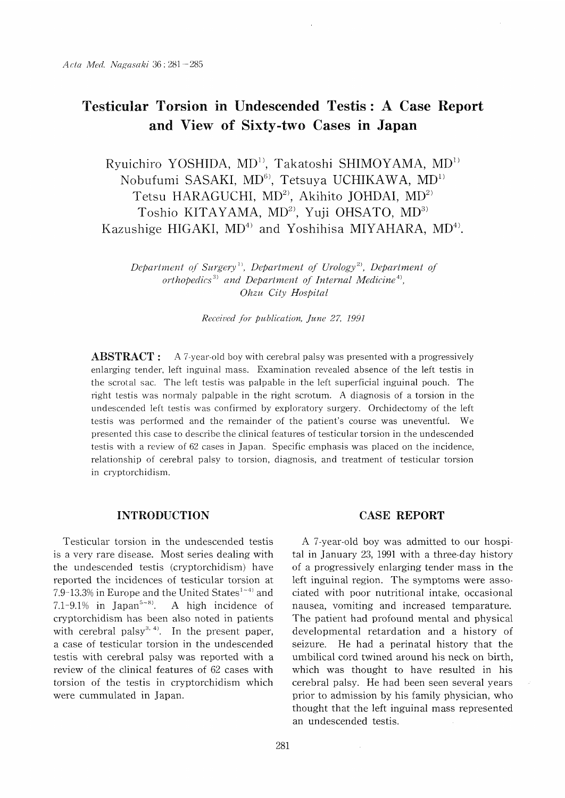# Testicular Torsion in Undescended Testis : A Case Report and View of Sixty-two Cases in Japan

Ryuichiro YOSHIDA, MD<sup>1)</sup>, Takatoshi SHIMOYAMA, MD<sup>1)</sup> Nobufumi SASAKI, MD<sup>6)</sup>, Tetsuya UCHIKAWA, MD<sup>1)</sup> Tetsu HARAGUCHI, MD<sup>2)</sup>, Akihito JOHDAI, MD<sup>2)</sup> Toshio KITAYAMA, MD<sup>2)</sup>, Yuji OHSATO, MD<sup>3)</sup> Kazushige HIGAKI,  $MD<sup>4</sup>$  and Yoshihisa MIYAHARA,  $MD<sup>4</sup>$ .

Department of Surgery<sup>1)</sup>, Department of Urology<sup>2)</sup>, Department of orthopedics<sup>3)</sup> and Department of Internal Medicine<sup>4)</sup>, Ohzu City Hospital

Received for publication, June 27, 1991

**ABSTRACT** : A 7-year-old boy with cerebral palsy was presented with a progressively enlarging tender, left inguinal mass. Examination revealed absence of the left testis in the scrotal sac. The left testis was palpable in the left superficial inguinal pouch. The right testis was normaly palpable in the right scrotum. A diagnosis of a torsion in the undescended left testis was confirmed by exploratory surgery. Orchidectomy of the left testis was performed and the remainder of the patient's course was uneventful. We presented this case to describe the clinical features of testicular torsion in the undescended testis with a review of 62 cases in Japan. Specific emphasis was placed on the incidence, relationship of cerebral palsy to torsion, diagnosis, and treatment of testicular torsion in cryptorchidism.

## INTRODUCTION

Testicular torsion in the undescended testis is a very rare disease. Most series dealing with the undescended testis (cryptorchidism) have reported the incidences of testicular torsion at 7.9-13.3% in Europe and the United States<sup>1-4)</sup> and 7.1-9.1% in Japan<sup>5-8</sup>. A high incidence of cryptorchidism has been also noted in patients with cerebral palsy<sup>3, 4)</sup>. In the present paper, a case of testicular torsion in the undescended testis with cerebral palsy was reported with a review of the clinical features of 62 cases with torsion of the testis in cryptorchidism which were cummulated in Japan.

# CASE REPORT

A 7-year-old boy was admitted to our hospital in January 23, 1991 with a three-day history of a progressively enlarging tender mass in the left inguinal region. The symptoms were associated with poor nutritional intake, occasional nausea, vomiting and increased temparature. The patient had profound mental and physical developmental retardation and a history of seizure. He had a perinatal history that the umbilical cord twined around his neck on birth, which was thought to have resulted in his cerebral palsy. He had been seen several years prior to admission by his family physician, who thought that the left inguinal mass represented an undescended testis.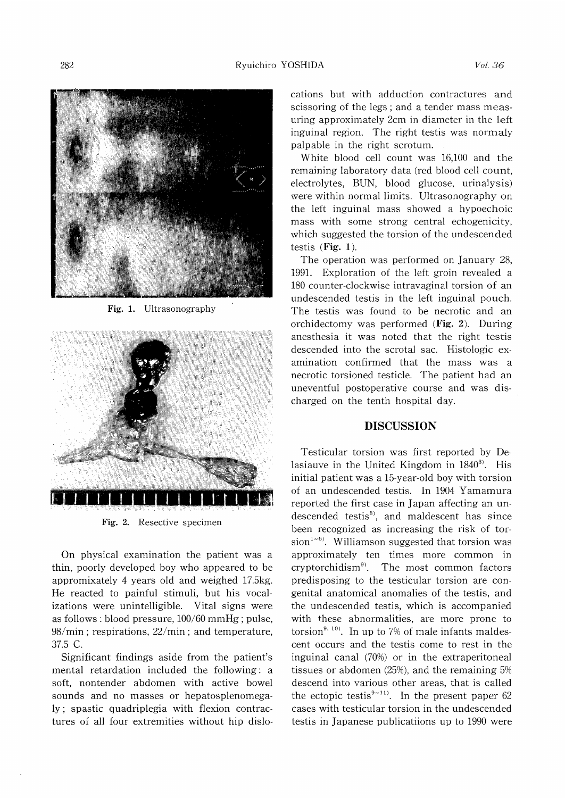

Fig. 1. Ultrasonography



Fig. 2. Resective specimen

On physical examination the patient was a thin, poorly developed boy who appeared to be appromixately 4 years old and weighed 17.5kg. He reacted to painful stimuli, but his vocalizations were unintelligible. Vital signs were as follows : blood pressure, 100/60 mmHg ; pulse, 98/min ; respirations, 22/min ; and temperature, 37.5 C.

Significant findings aside from the patient's mental retardation included the following: a soft, nontender abdomen with active bowel sounds and no masses or hepatosplenomegaly ; spastic quadriplegia with flexion contractures of all four extremities without hip dislocations but with adduction contractures and scissoring of the legs ; and a tender mass measuring approximately 2cm in diameter in the left inguinal region. The right testis was normaly palpable in the right scrotum.

White blood cell count was 16,100 and the remaining laboratory data (red blood cell count, electrolytes, BUN, blood glucose, urinalysis) were within normal limits. Ultrasonography on the left inguinal mass showed a hypoechoic mass with some strong central echogenicity, which suggested the torsion of the undescended testis (Fig. 1).

The operation was performed on January 28, 1991. Exploration of the left groin revealed a 180 counter-clockwise intravaginal torsion of an undescended testis in the left inguinal pouch. The testis was found to be necrotic and an orchidectomy was performed (Fig. 2). During anesthesia it was noted that the right testis descended into the scrotal sac. Histologic examination confirmed that the mass was a necrotic torsioned testicle. The patient had an uneventful postoperative course and was discharged on the tenth hospital day.

### DISCUSSION

Testicular torsion was first reported by Delasiauve in the United Kingdom in  $1840^{3}$ . His initial patient was a 15-year-old boy with torsion of an undescended testis. In 1904 Yamamura reported the first case in Japan affecting an undescended testis<sup>8)</sup>, and maldescent has since been recognized as increasing the risk of torsion<sup>1~6)</sup>. Williamson suggested that torsion was approximately ten times more common in cryptorchidism9'. The most common factors predisposing to the testicular torsion are congenital anatomical anomalies of the testis, and the undescended testis, which is accompanied with these abnormalities, are more prone to torsion<sup>9, 10</sup>. In up to 7% of male infants maldescent occurs and the testis come to rest in the inguinal canal (70%) or in the extraperitoneal tissues or abdomen (25%), and the remaining 5% descend into various other areas, that is called the ectopic testis<sup>9~11)</sup>. In the present paper 62 cases with testicular torsion in the undescended testis in Japanese publicatiions up to 1990 were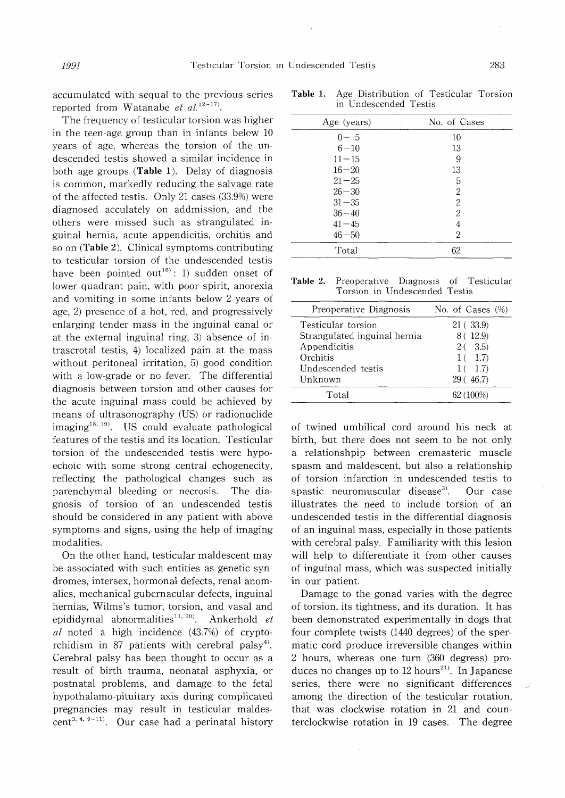accumulated with sequal to the previous series reported from Watanabe et  $al.^{12-17}$ .

The frequency of testicular torsion was higher in the teen-age group than in infants below 10 years of age, whereas the torsion of the undescended testis showed a similar incidence in both age groups (Table 1). Delay of diagnosis is common, markedly reducing the salvage rate of the affected testis. Only 21 cases (33.9%) were diagnosed acculately on addmission, and the others were missed such as strangulated inguinal hernia, acute appendicitis, orchitis and so on (Table 2). Clinical symptoms contributing to testicular torsion of the undescended testis have been pointed out<sup>16</sup>): 1) sudden onset of lower quadrant pain, with poor spirit, anorexia and vomiting in some infants below 2 years of age, 2) presence of a hot, red, and progressively enlarging tender mass in the inguinal canal or at the external inguinal ring, 3) absence of intrascrotal testis, 4) localized pain at the mass without peritoneal irritation, 5) good condition with a low-grade or no fever. The differential diagnosis between torsion and other causes for the acute inguinal mass could be achieved by means of ultrasonography (US) or radionuclide  $\text{imaging}^{18, 19}$ . US could evaluate pathological features of the testis and its location. Testicular torsion of the undescended testis were hypoechoic with some strong central echogenecity, reflecting the pathological changes such as parenchymal bleeding or necrosis. The diagnosis of torsion of an undescended testis should be considered in any patient with above symptoms and signs, using the help of imaging modalities.

On the other hand, testicular maldescent may be associated with such entities as genetic syndromes, intersex, hormonal defects, renal anomalies, mechanical gubernacular defects, inguinal hernias, Wilms's tumor, torsion, and vasal and epididymal abnormalities<sup>11, 20)</sup>. Ankerhold  $et$ al noted a high incidence (43.7%) of cryptorchidism in 87 patients with cerebral palsy'). Cerebral palsy has been thought to occur as a result of birth trauma, neonatal asphyxia, or postnatal problems, and damage to the fetal hypothalamo-pituitary axis during complicated pregnancies may result in testicular maldescent<sup>3, 4, 9~11)</sup>. Our case had a perinatal history

| in Undescended Testis |                  |  |
|-----------------------|------------------|--|
| Age (years)           | No. of Cases     |  |
| $0 - 5$               | 10               |  |
| $6 - 10$              | 13               |  |
| $11 - 15$             | 9                |  |
| $16 - 20$             | 13               |  |
| $21 - 25$             | 5                |  |
| $26 - 30$             | $\boldsymbol{2}$ |  |
| $31 - 35$             | $\overline{c}$   |  |
| $36 - 40$             | $\overline{2}$   |  |
| $41 - 45$             | 4                |  |
| $46 - 50$             | $\overline{2}$   |  |
| Total                 | 62               |  |

Table 1. Age Distribution of Testicular Torsion in Undescended Testis

| <b>Table 2.</b> Preoperative Diagnosis of Testicular |  |  |
|------------------------------------------------------|--|--|
| Torsion in Undescended Testis                        |  |  |

| Preoperative Diagnosis       | No. of Cases (%) |
|------------------------------|------------------|
| Testicular torsion           | 21 (33.9)        |
| Strangulated inguinal hernia | 8 (12.9)         |
| Appendicitis                 | $2(-3.5)$        |
| Orchitis                     | $1(-1.7)$        |
| Undescended testis           | $1(-1.7)$        |
| Unknown                      | 29(46.7)         |
| Total                        | 62 (100%)        |

of twined umbilical cord around his neck at birth, but there does not seem to be not only a relationshpip between cremasteric muscle spasm and maldescent, but also a relationship of torsion infarction in undescended testis to spastic neuromuscular disease<sup>3)</sup>. Our case illustrates the need to include torsion of an undescended testis in the differential diagnosis of an inguinal mass, especially in those patients with cerebral palsy. Familiarity with this lesion will help to differentiate it from other causes of inguinal mass, which was suspected initially in our patient.

Damage to the gonad varies with the degree of torsion, its tightness, and its duration. It has been demonstrated experimentally in dogs that four complete twists (1440 degrees) of the spermatic cord produce irreversible changes within 2 hours, whereas one turn (360 degress) produces no changes up to  $12$  hours<sup>21)</sup>. In Japanese series, there were no significant differences among the direction of the testicular rotation, that was clockwise rotation in 21 and counterclockwise rotation in 19 cases. The degree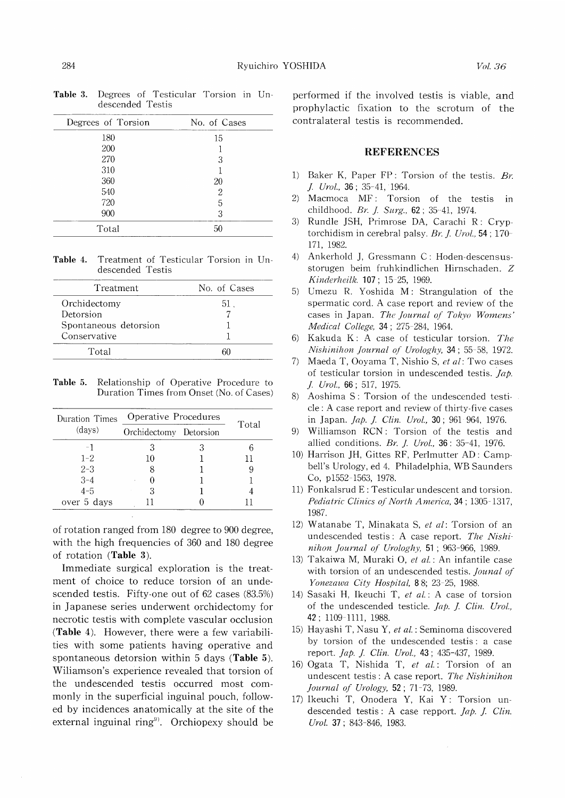| Degrees of Torsion | No. of Cases |
|--------------------|--------------|
| 180                | 15           |
| 200                |              |
| 270                | 3            |
| 310                |              |
| 360                | 20           |
| 540                | 2            |
| 720                | 5            |
| 900                | 3            |
| Total              | 50           |

Table 3. Degrees of Testicular Torsion in Undescended Testis

Table 4. Treatment of Testicular Torsion in Undescended Testis

| No. of Cases |
|--------------|
| 51.          |
|              |
|              |
|              |
|              |
|              |

Table 5. Relationship of Operative Procedure to Duration Times from Onset (No. of Cases)

| Duration Times | Operative Procedures   | Total |
|----------------|------------------------|-------|
| (days)         | Orchidectomy Detorsion |       |
| - 1            |                        |       |
| $1 - 2.$       | 10                     |       |
| $2 - 3$        |                        |       |
| $3 - 4$        |                        |       |
| $4 - 5$        | З                      |       |
| over 5 days    |                        |       |

of rotation ranged from 180 degree to 900 degree, with the high frequencies of 360 and 180 degree of rotation (Table 3).

Immediate surgical exploration is the treatment of choice to reduce torsion of an undescended testis. Fifty-one out of 62 cases (83.5%) in Japanese series underwent orchidectomy for necrotic testis with complete vascular occlusion (Table 4). However, there were a few variabilities with some patients having operative and spontaneous detorsion within 5 days (Table 5). Wiliamson's experience revealed that torsion of the undescended testis occurred most commonly in the superficial inguinal pouch, followed by incidences anatomically at the site of the external inguinal ring'). Orchiopexy should be

performed if the involved testis is viable, and prophylactic fixation to the scrotum of the contralateral testis is recommended.

#### REFERENCES

- 1) Baker K, Paper FP: Torsion of the testis. Br. J. Urol., 36; 35-41, 1964.
- 2) Macmoca MF: Torsion of the testis in childhood. Br. J. Surg.,  $62$ ;  $35-41$ ,  $1974$ .
- 3) Rundle JSH, Primrose DA, Carachi R: Cryptorchidism in cerebral palsy. Br. J. Urol., 54; 170- 171, 1982.
- 4) Ankerhold J, Gressmann C: Hoden-descensusstorugen beim fruhkindlichen Hirnschaden. Z Kinderheilk. 107; 15-25, 1969.
- 5) Umezu R. Yoshida M: Strangulation of the spermatic cord. A case report and review of the cases in Japan. The Journal of Tokyo Womens' Medical College, 34; 275-284, 1964.
- 6) Kakuda K: A case of testicular torsion. The Nishinihon Journal of Urologhy, 34; 55-58, 1972.
- 7) Maeda T, Ooyama T, Nishio S, et al: Two cases of testicular torsion in undescended testis. *Jap.* J. Urol., 66; 517, 1975.
- 8) Aoshima S: Torsion of the undescended testicle: A case report and review of thirty-five cases in Japan. *Jap. J. Clin. Urol.*, 30; 961 964, 1976.
- 9) Williamson RCN : Torsion of the testis and allied conditions. Br. J. Urol.,  $36: 35-41$ , 1976.
- 10) Harrison JH, Gittes RF, Perlmutter AD : Campbell's Urology, ed 4. Philadelphia, WB Saunders Co, p1552-1563, 1978.
- 11) Fonkalsrud E : Testicular undescent and torsion. Pediatric Clinics of North America, 34; 1305-1317, 1987.
- 12) Watanabe T, Minakata S, et al: Torsion of an undescended testis : A case report. The Nishinihon Journal of Urologhy, 51 ; 963-966, 1989.
- 13) Takaiwa M, Muraki 0, et al.: An infantile case with torsion of an undescended testis. Jounal of Yonezawa City Hospital, 88; 23-25, 1988.
- 14) Sasaki H, Ikeuchi T, et al.: A case of torsion of the undescended testicle. Jap. J. Clin. Urol., 42; 1109-1111, 1988.
- 15) Hayashi T, Nasu Y, et al.: Seminoma discovered by torsion of the undescended testis : a case report. Jap. J. Clin. Urol., 43; 435-437, 1989.
- 16) Ogata T, Nishida T, et al.: Torsion of an undescent testis : A case report. The Nishinihon Journal of Urology, 52; 71-73, 1989.
- 17) Ikeuchi T, Onodera Y, Kai Y: Torsion undescended testis : A case repport. Jap. J. Clin. Urol. 37; 843-846, 1983.